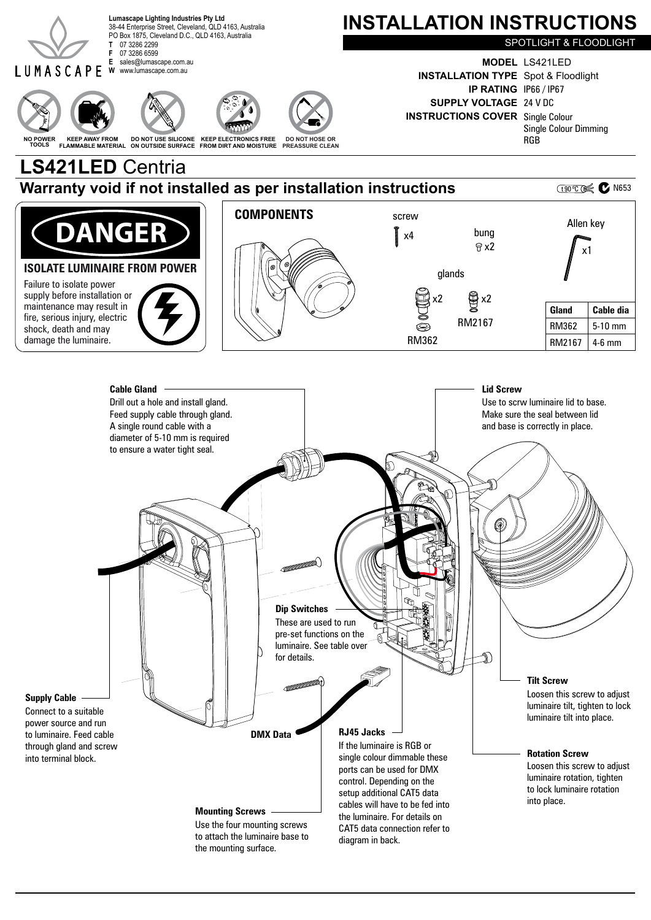